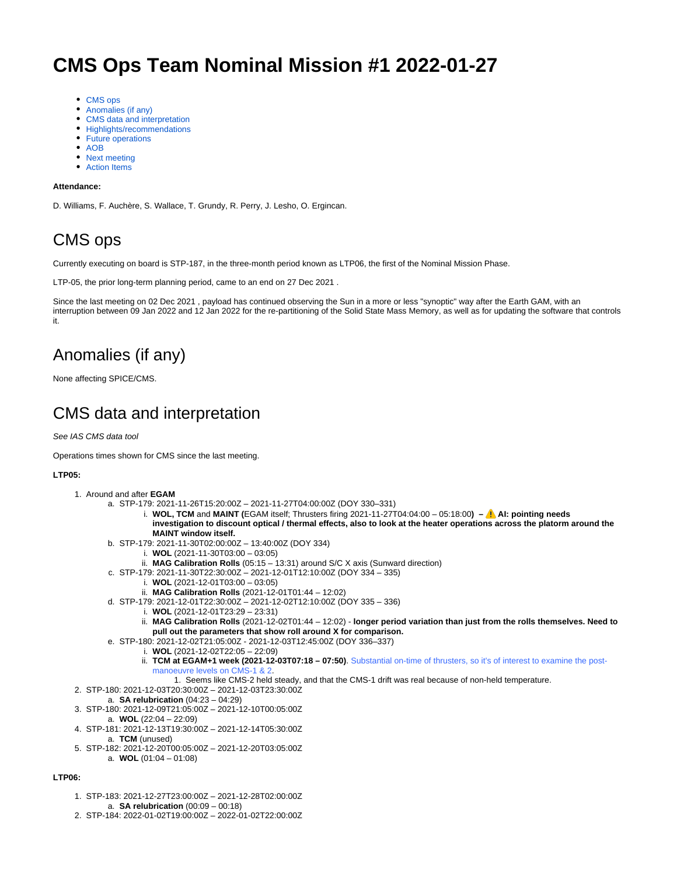# **CMS Ops Team Nominal Mission #1 2022-01-27**

- [CMS ops](#page-0-0)
- [Anomalies \(if any\)](#page-0-1)
- [CMS data and interpretation](#page-0-2)
- [Highlights/recommendations](#page-1-0)
- [Future operations](#page-1-1)
- [AOB](#page-1-2)
- [Next meeting](#page-4-0)
- [Action Items](#page-4-1)

#### **Attendance:**

D. Williams, F. Auchère, S. Wallace, T. Grundy, R. Perry, J. Lesho, O. Ergincan.

### <span id="page-0-0"></span>CMS ops

Currently executing on board is STP-187, in the three-month period known as LTP06, the first of the Nominal Mission Phase.

LTP-05, the prior long-term planning period, came to an end on 27 Dec 2021 .

Since the last meeting on 02 Dec 2021 , payload has continued observing the Sun in a more or less "synoptic" way after the Earth GAM, with an interruption between 09 Jan 2022 and 12 Jan 2022 for the re-partitioning of the Solid State Mass Memory, as well as for updating the software that controls it.

## <span id="page-0-1"></span>Anomalies (if any)

None affecting SPICE/CMS.

### <span id="page-0-2"></span>CMS data and interpretation

See IAS CMS data tool

Operations times shown for CMS since the last meeting.

#### **LTP05:**

- 1. Around and after **EGAM**
	- a. STP-179: 2021-11-26T15:20:00Z 2021-11-27T04:00:00Z (DOY 330–331)
		- i. **WOL, TCM** and **MAINT (**EGAM itself; Thrusters firing 2021-11-27T04:04:00 05:18:00**) AI: pointing needs investigation to discount optical / thermal effects, also to look at the heater operations across the platorm around the MAINT window itself.**
	- b. STP-179: 2021-11-30T02:00:00Z 13:40:00Z (DOY 334)
		- i. **WOL** (2021-11-30T03:00 03:05)
		- ii. **MAG Calibration Rolls** (05:15 13:31) around S/C X axis (Sunward direction)
	- c. STP-179: 2021-11-30T22:30:00Z 2021-12-01T12:10:00Z (DOY 334 335)
		- i. **WOL** (2021-12-01T03:00 03:05)
		- ii. **MAG Calibration Rolls** (2021-12-01T01:44 12:02)
	- d. STP-179: 2021-12-01T22:30:00Z 2021-12-02T12:10:00Z (DOY 335 336)
		- i. **WOL** (2021-12-01T23:29 23:31)
			- ii. **MAG Calibration Rolls** (2021-12-02T01:44 12:02) - **longer period variation than just from the rolls themselves. Need to pull out the parameters that show roll around X for comparison.**
	- e. STP-180: 2021-12-02T21:05:00Z 2021-12-03T12:45:00Z (DOY 336–337)
		- i. **WOL** (2021-12-02T22:05 22:09)
			- ii. **TCM at EGAM+1 week (2021-12-03T07:18 07:50)**. Substantial on-time of thrusters, so it's of interest to examine the postmanoeuvre levels on CMS-1 & 2.
			- 1. Seems like CMS-2 held steady, and that the CMS-1 drift was real because of non-held temperature.
- 2. STP-180: 2021-12-03T20:30:00Z 2021-12-03T23:30:00Z
	- a. **SA relubrication** (04:23 04:29)
- 3. STP-180: 2021-12-09T21:05:00Z 2021-12-10T00:05:00Z
- a. **WOL** (22:04 22:09)
- 4. STP-181: 2021-12-13T19:30:00Z 2021-12-14T05:30:00Z a. **TCM** (unused)
- 5. STP-182: 2021-12-20T00:05:00Z 2021-12-20T03:05:00Z a. **WOL** (01:04 – 01:08)

#### **LTP06:**

- 1. STP-183: 2021-12-27T23:00:00Z 2021-12-28T02:00:00Z
- a. **SA relubrication** (00:09 00:18)
- 2. STP-184: 2022-01-02T19:00:00Z 2022-01-02T22:00:00Z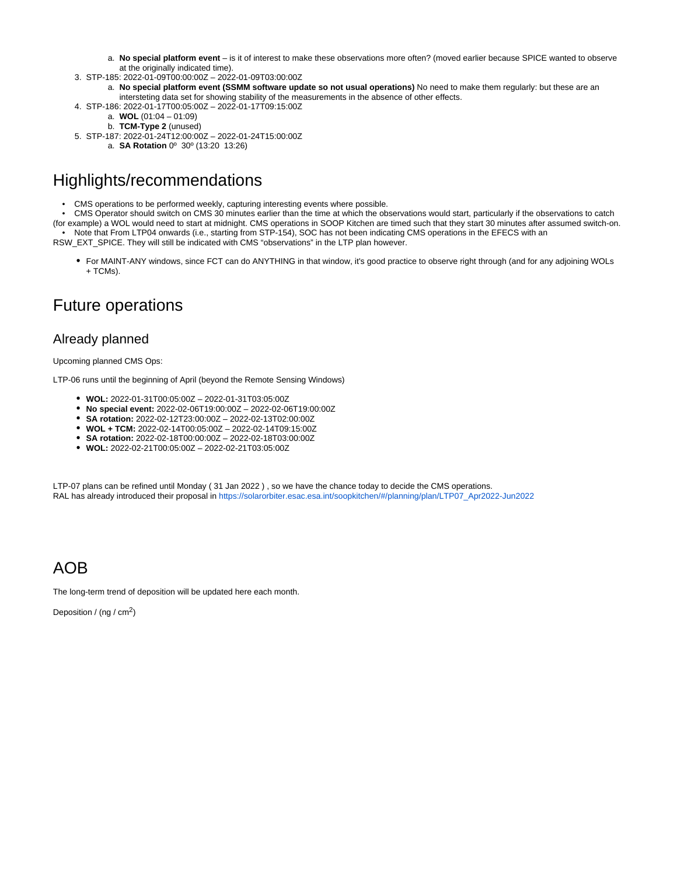- a. **No special platform event** is it of interest to make these observations more often? (moved earlier because SPICE wanted to observe at the originally indicated time).
- 3. STP-185: 2022-01-09T00:00:00Z 2022-01-09T03:00:00Z
	- a. **No special platform event (SSMM software update so not usual operations)** No need to make them regularly: but these are an intersteting data set for showing stability of the measurements in the absence of other effects.
- 4. STP-186: 2022-01-17T00:05:00Z 2022-01-17T09:15:00Z
	- a. **WOL** (01:04 01:09)
		- b. **TCM-Type 2** (unused)
- 5. STP-187: 2022-01-24T12:00:00Z 2022-01-24T15:00:00Z
	- a. **SA Rotation** 0º 30º (13:20 13:26)

### <span id="page-1-0"></span>Highlights/recommendations

- CMS operations to be performed weekly, capturing interesting events where possible.
- CMS Operator should switch on CMS 30 minutes earlier than the time at which the observations would start, particularly if the observations to catch

(for example) a WOL would need to start at midnight. CMS operations in SOOP Kitchen are timed such that they start 30 minutes after assumed switch-on. • Note that From LTP04 onwards (i.e., starting from STP-154), SOC has not been indicating CMS operations in the EFECS with an

RSW\_EXT\_SPICE. They will still be indicated with CMS "observations" in the LTP plan however.

For MAINT-ANY windows, since FCT can do ANYTHING in that window, it's good practice to observe right through (and for any adjoining WOLs + TCMs).

### <span id="page-1-1"></span>Future operations

#### Already planned

Upcoming planned CMS Ops:

LTP-06 runs until the beginning of April (beyond the Remote Sensing Windows)

- **WOL:** 2022-01-31T00:05:00Z 2022-01-31T03:05:00Z
- **No special event:** 2022-02-06T19:00:00Z 2022-02-06T19:00:00Z
- **SA rotation:** 2022-02-12T23:00:00Z 2022-02-13T02:00:00Z
- **WOL + TCM:** 2022-02-14T00:05:00Z 2022-02-14T09:15:00Z
- **SA rotation:** 2022-02-18T00:00:00Z 2022-02-18T03:00:00Z
- **WOL:** 2022-02-21T00:05:00Z 2022-02-21T03:05:00Z

LTP-07 plans can be refined until Monday ( 31 Jan 2022 ) , so we have the chance today to decide the CMS operations. RAL has already introduced their proposal in [https://solarorbiter.esac.esa.int/soopkitchen/#/planning/plan/LTP07\\_Apr2022-Jun2022](https://solarorbiter.esac.esa.int/soopkitchen/#/planning/plan/LTP07_Apr2022-Jun2022)

#### <span id="page-1-2"></span>AOB

The long-term trend of deposition will be updated here each month.

Deposition / (ng / cm<sup>2</sup>)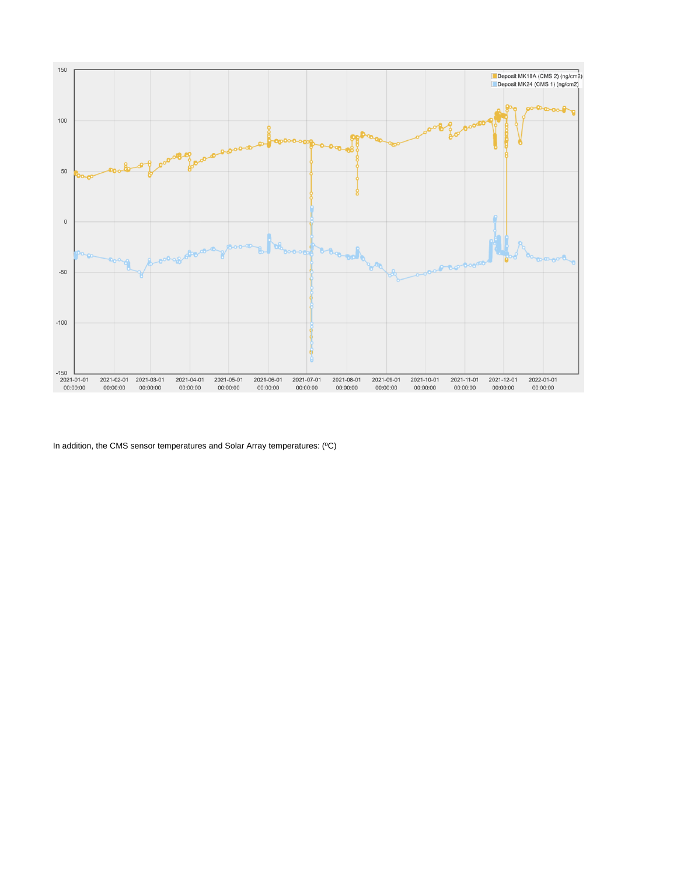

In addition, the CMS sensor temperatures and Solar Array temperatures: (ºC)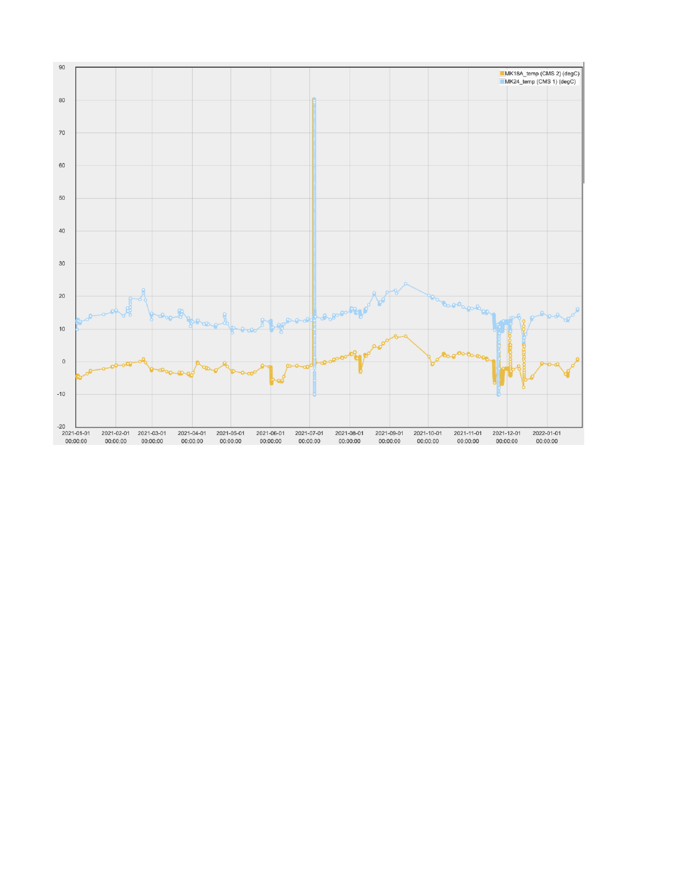